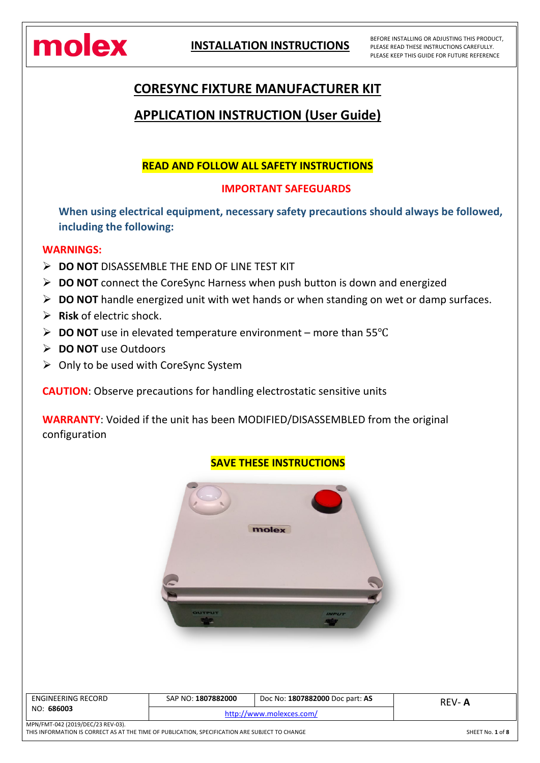

BEFORE INSTALLING OR ADJUSTING THIS PRODUCT, PLEASE READ THESE INSTRUCTIONS CAREFULLY. PLEASE KEEP THIS GUIDE FOR FUTURE REFERENCE

# **CORESYNC FIXTURE MANUFACTURER KIT**

# **APPLICATION INSTRUCTION (User Guide)**

### **READ AND FOLLOW ALL SAFETY INSTRUCTIONS**

### **IMPORTANT SAFEGUARDS**

**When using electrical equipment, necessary safety precautions should always be followed, including the following:**

#### **WARNINGS:**

- **DO NOT** DISASSEMBLE THE END OF LINE TEST KIT
- **DO NOT** connect the CoreSync Harness when push button is down and energized
- **DO NOT** handle energized unit with wet hands or when standing on wet or damp surfaces.
- **Risk** of electric shock.
- **DO NOT** use in elevated temperature environment more than 55℃
- **DO NOT** use Outdoors
- $\triangleright$  Only to be used with CoreSync System

**CAUTION**: Observe precautions for handling electrostatic sensitive units

**WARRANTY**: Voided if the unit has been MODIFIED/DISASSEMBLED from the original configuration

### **SAVE THESE INSTRUCTIONS**



| ENGINEERING RECORD<br>NO: 686003  | SAP NO: 1807882000       | Doc No: 1807882000 Doc part: AS | REV-A |
|-----------------------------------|--------------------------|---------------------------------|-------|
|                                   | http://www.molexces.com/ |                                 |       |
| MPN/FMT-042 (2019/DEC/23 REV-03). |                          |                                 |       |

THIS INFORMATION IS CORRECT AS AT THE TIME OF PUBLICATION, SPECIFICATION ARE SUBJECT TO CHANGE SHEET No. **1** of **8**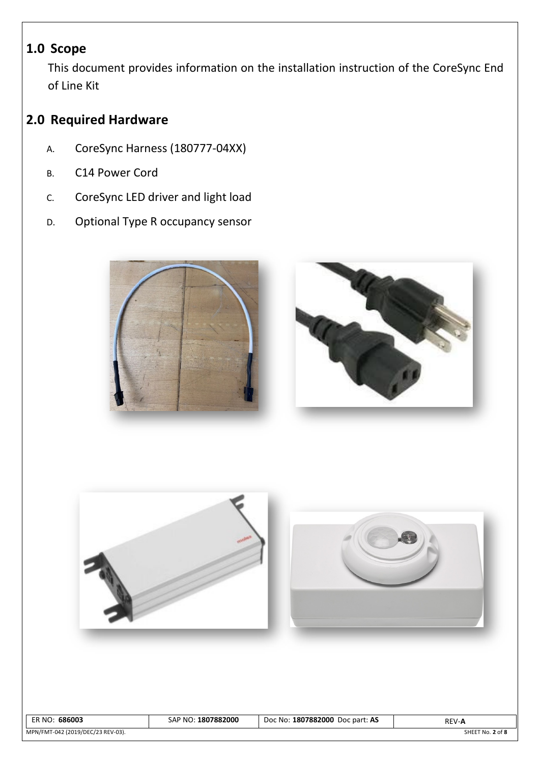# **1.0 Scope**

This document provides information on the installation instruction of the CoreSync End of Line Kit

# **2.0 Required Hardware**

- A. CoreSync Harness (180777-04XX)
- B. C14 Power Cord
- C. CoreSync LED driver and light load
- D. Optional Type R occupancy sensor





| 686003<br>ER NO:                  | SAP NO: 1807882000 | Doc No: 1807882000 Doc part: AS | <b>REV-A</b>     |
|-----------------------------------|--------------------|---------------------------------|------------------|
| MPN/FMT-042 (2019/DEC/23 REV-03). |                    |                                 | SHEET No. 2 of 8 |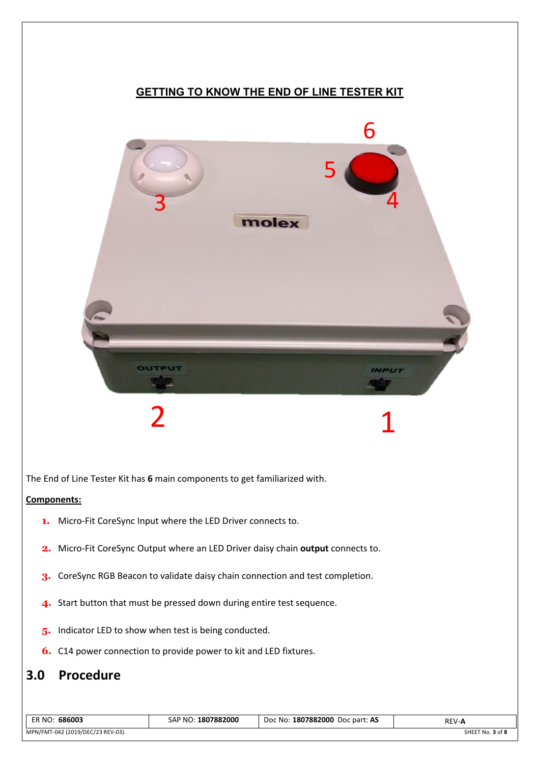### **GETTING TO KNOW THE END OF LINE TESTER KIT**



The End of Line Tester Kit has **6** main components to get familiarized with.

#### **Components:**

- **1.** Micro-Fit CoreSync Input where the LED Driver connects to.
- **2.** Micro-Fit CoreSync Output where an LED Driver daisy chain **output** connects to.
- **3.** CoreSync RGB Beacon to validate daisy chain connection and test completion.
- **4.** Start button that must be pressed down during entire test sequence.
- **5.** Indicator LED to show when test is being conducted.
- **6.** C14 power connection to provide power to kit and LED fixtures.

### **3.0 Procedure**

| 686003<br>ER NO:                  | 1807882000<br>$\cdot$ $\cdot$ D NO $\cdot$ .<br>SAP | Doc No: <b>1807882000</b><br>Doc part: AS | REV-A                |
|-----------------------------------|-----------------------------------------------------|-------------------------------------------|----------------------|
| MPN/FMT-042 (2019/DEC/23 REV-03). |                                                     |                                           | .3 of 8<br>SHEET No. |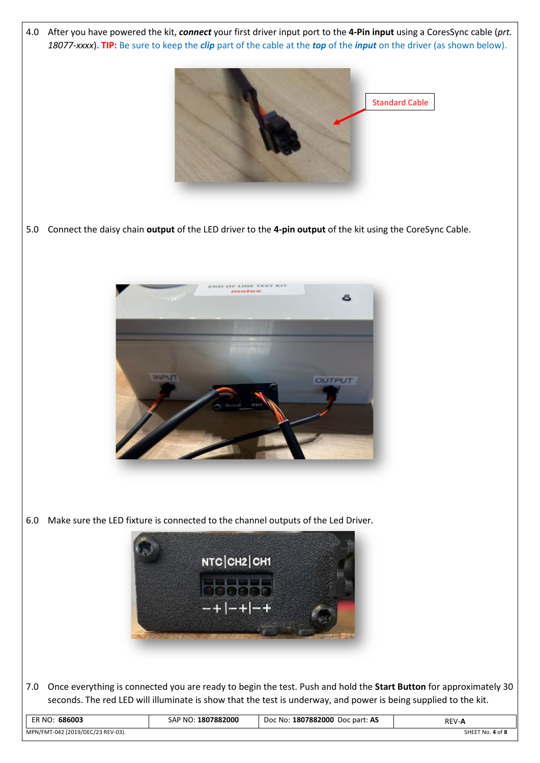4.0 After you have powered the kit, *connect* your first driver input port to the **4-Pin input** using a CoresSync cable (*prt. 18077-xxxx*). **TIP:** Be sure to keep the *clip* part of the cable at the *top* of the *input* on the driver (as shown below).



5.0 Connect the daisy chain **output** of the LED driver to the **4-pin output** of the kit using the CoreSync Cable.



6.0 Make sure the LED fixture is connected to the channel outputs of the Led Driver.



7.0 Once everything is connected you are ready to begin the test. Push and hold the **Start Button** for approximately 30 seconds. The red LED will illuminate is show that the test is underway, and power is being supplied to the kit.

| 686003                            | 1807882000 | Doc No: <b>1807882000</b> | <b>REV-A</b>         |
|-----------------------------------|------------|---------------------------|----------------------|
| ER NO:                            | :AP NO:    | Doc part: AS              |                      |
| MPN/FMT-042 (2019/DEC/23 REV-03). |            |                           | .4 of 8<br>SHEET No. |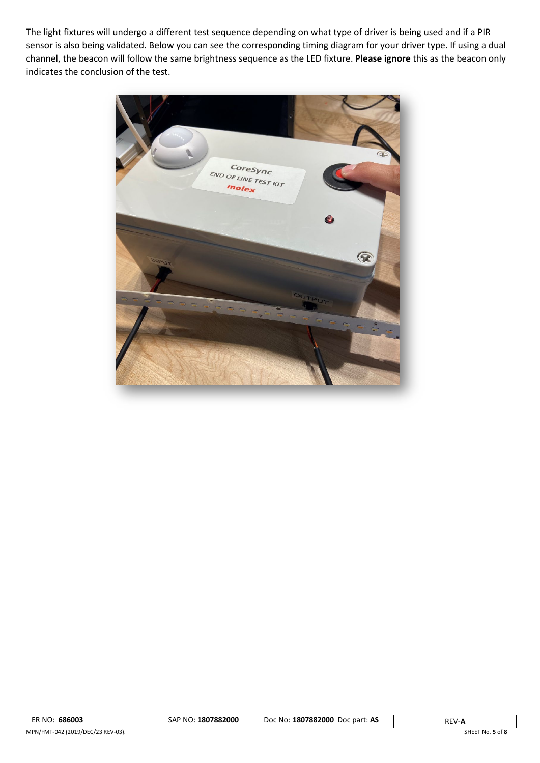The light fixtures will undergo a different test sequence depending on what type of driver is being used and if a PIR sensor is also being validated. Below you can see the corresponding timing diagram for your driver type. If using a dual channel, the beacon will follow the same brightness sequence as the LED fixture. **Please ignore** this as the beacon only indicates the conclusion of the test.



| 686003                            | 1807882000          | Doc No: <b>1807882000</b> | <b>REV-A</b>     |
|-----------------------------------|---------------------|---------------------------|------------------|
| ER NO:                            | 5AP NO <sup>∙</sup> | Doc part: AS              |                  |
| MPN/FMT-042 (2019/DEC/23 REV-03). |                     |                           | SHEET No. 5 of 8 |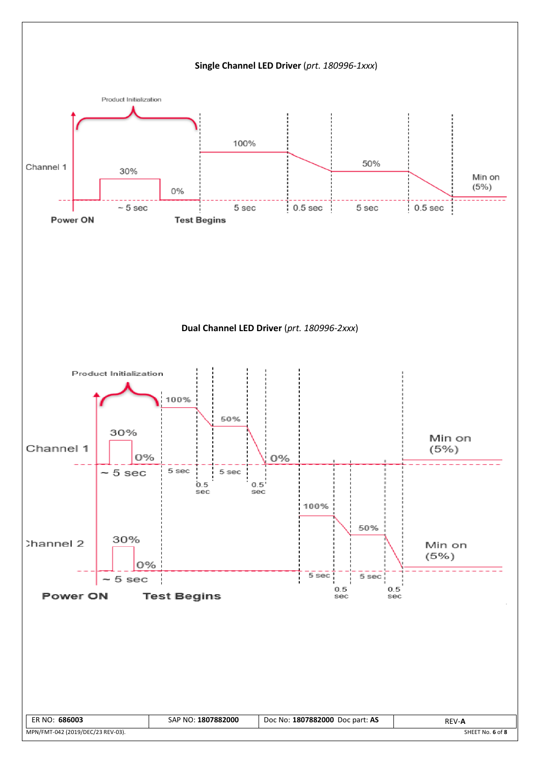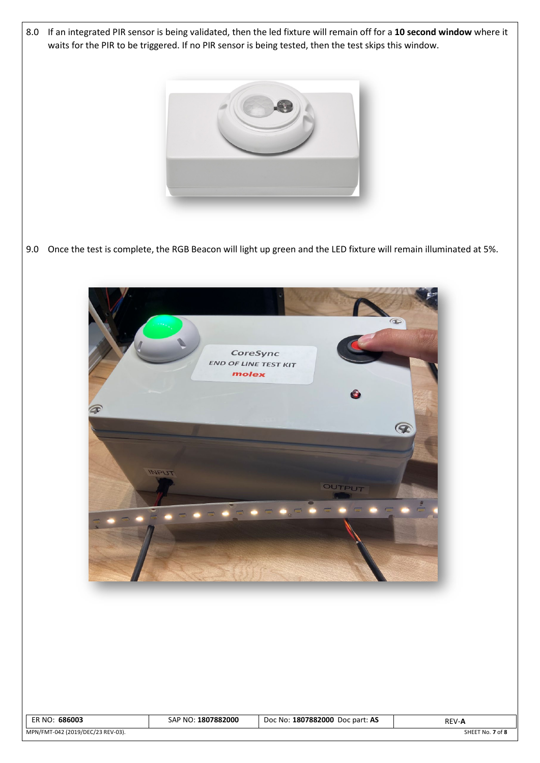8.0 If an integrated PIR sensor is being validated, then the led fixture will remain off for a **10 second window** where it waits for the PIR to be triggered. If no PIR sensor is being tested, then the test skips this window.



9.0 Once the test is complete, the RGB Beacon will light up green and the LED fixture will remain illuminated at 5%.



| ER NO: 686003                     | SAP NO: 1807882000 | Doc No: 1807882000 Doc part: AS | <b>REV-A</b>     |
|-----------------------------------|--------------------|---------------------------------|------------------|
| MPN/FMT-042 (2019/DEC/23 REV-03). |                    |                                 | SHEET No. 7 of 8 |